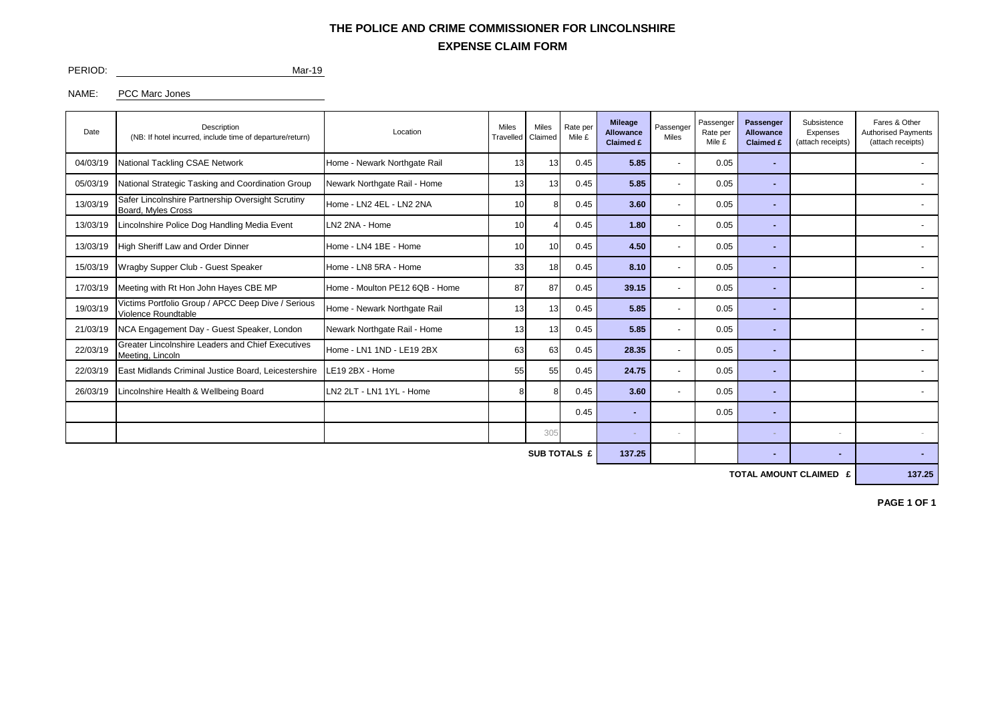## **EXPENSE CLAIM FORM THE POLICE AND CRIME COMMISSIONER FOR LINCOLNSHIRE**

PERIOD: Mar-19

NAME: PCC Marc Jones

| Date     | <b>Description</b><br>(NB: If hotel incurred, include time of departure/return) | Location                       | <b>Miles</b><br>Travelled | <b>Miles</b><br>Claimed | Rate per<br>Mile £ | <b>Mileage</b><br><b>Allowance</b><br>Claimed £ | Passenger<br>Miles       | Passenger<br>Rate per<br>Mile £ | Passenger<br><b>Allowance</b><br>Claimed £ | Subsistence<br>Expenses<br>(attach receipts) | Fares & Other<br><b>Authorised Payments</b><br>(attach receipts) |
|----------|---------------------------------------------------------------------------------|--------------------------------|---------------------------|-------------------------|--------------------|-------------------------------------------------|--------------------------|---------------------------------|--------------------------------------------|----------------------------------------------|------------------------------------------------------------------|
| 04/03/19 | National Tackling CSAE Network                                                  | Home - Newark Northgate Rail   | 13                        |                         | 0.45               | 5.85                                            |                          | 0.05                            |                                            |                                              |                                                                  |
| 05/03/19 | National Strategic Tasking and Coordination Group                               | Newark Northgate Rail - Home   | 13                        | 13                      | 0.45               | 5.85                                            | ٠                        | 0.05                            | ÷                                          |                                              |                                                                  |
| 13/03/19 | Safer Lincolnshire Partnership Oversight Scrutiny<br>Board, Myles Cross         | Home - LN2 4EL - LN2 2NA       | 10                        |                         | 0.45               | 3.60                                            | ٠                        | 0.05                            | ÷                                          |                                              |                                                                  |
| 13/03/19 | Lincolnshire Police Dog Handling Media Event                                    | LN2 2NA - Home                 | 10                        |                         | 0.45               | 1.80                                            | ٠                        | 0.05                            |                                            |                                              |                                                                  |
| 13/03/19 | High Sheriff Law and Order Dinner                                               | Home - LN4 1BE - Home          | 10                        | 10                      | 0.45               | 4.50                                            | ٠                        | 0.05                            |                                            |                                              |                                                                  |
| 15/03/19 | Wragby Supper Club - Guest Speaker                                              | Home - LN8 5RA - Home          | 33                        | 18                      | 0.45               | 8.10                                            | ٠                        | 0.05                            |                                            |                                              |                                                                  |
| 17/03/19 | Meeting with Rt Hon John Hayes CBE MP                                           | Home - Moulton PE12 6QB - Home | 87                        | 87                      | 0.45               | 39.15                                           | ٠                        | 0.05                            |                                            |                                              |                                                                  |
| 19/03/19 | Victims Portfolio Group / APCC Deep Dive / Serious<br>Violence Roundtable       | Home - Newark Northgate Rail   | 13                        | 13                      | 0.45               | 5.85                                            | ٠                        | 0.05                            |                                            |                                              |                                                                  |
| 21/03/19 | NCA Engagement Day - Guest Speaker, London                                      | Newark Northgate Rail - Home   | 13                        | 13                      | 0.45               | 5.85                                            | ٠                        | 0.05                            |                                            |                                              |                                                                  |
| 22/03/19 | Greater Lincolnshire Leaders and Chief Executives<br>Meeting, Lincoln           | Home - LN1 1ND - LE19 2BX      | 63                        | 63                      | 0.45               | 28.35                                           | ٠                        | 0.05                            |                                            |                                              |                                                                  |
| 22/03/19 | East Midlands Criminal Justice Board, Leicestershire                            | LE19 2BX - Home                | 55                        | 55                      | 0.45               | 24.75                                           | $\overline{\phantom{a}}$ | 0.05                            |                                            |                                              |                                                                  |
| 26/03/19 | Lincolnshire Health & Wellbeing Board                                           | LN2 2LT - LN1 1YL - Home       | 8                         |                         | 0.45               | 3.60                                            | ٠                        | 0.05                            |                                            |                                              |                                                                  |
|          |                                                                                 |                                |                           |                         | 0.45               |                                                 |                          | 0.05                            |                                            |                                              |                                                                  |
|          |                                                                                 |                                |                           | 305                     |                    |                                                 |                          |                                 |                                            | $\blacksquare$                               |                                                                  |
|          | 137.25                                                                          |                                |                           |                         |                    |                                                 |                          |                                 |                                            |                                              |                                                                  |

**TOTAL AMOUNT CLAIMED £** 137.25

**PAGE 1 OF 1**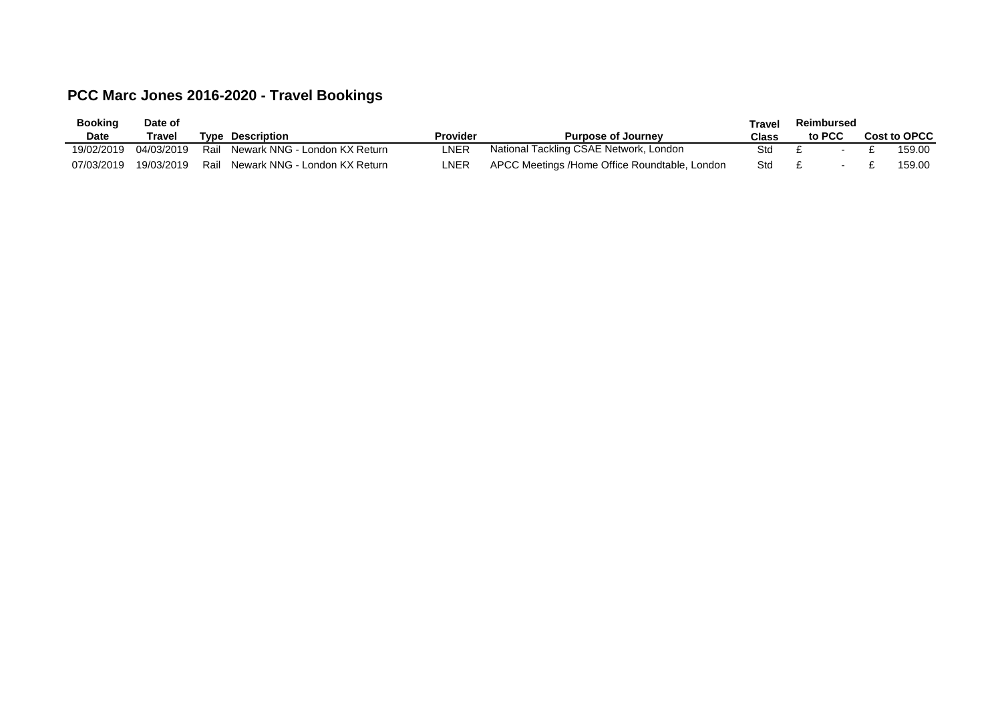## **PCC Marc Jones 2016-2020 - Travel Bookings**

| <b>Booking</b> | Date of    |     |                               |                 |                                               | Travel | Reimbursed |  |              |
|----------------|------------|-----|-------------------------------|-----------------|-----------------------------------------------|--------|------------|--|--------------|
| <b>Date</b>    | Travel     |     | <b>Type Description</b>       | <b>Provider</b> | <b>Purpose of Journey</b>                     | Class  | to PCC     |  | Cost to OPCC |
| 19/02/2019     | 04/03/2019 | Rai | Newark NNG - London KX Return | _NER            | National Tackling CSAE Network, London        | Std    |            |  | 159.00       |
| 07/03/2019     | 19/03/2019 | Rai | Newark NNG - London KX Return | $_{\sf NER}$    | APCC Meetings /Home Office Roundtable, London | Std    |            |  | 159.00       |